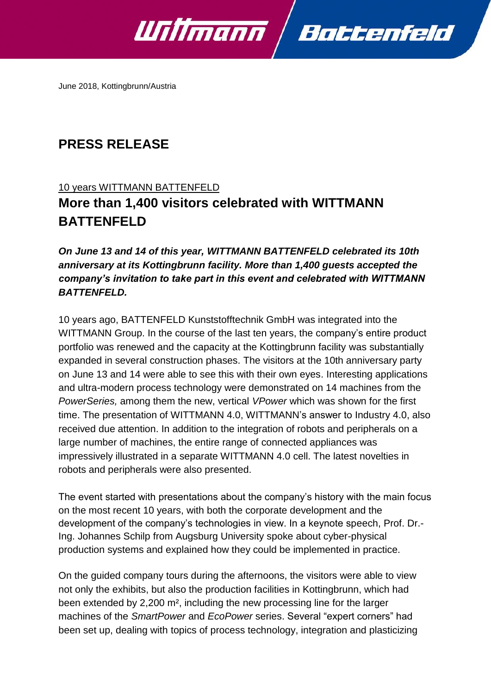

June 2018, Kottingbrunn/Austria

# **PRESS RELEASE**

### 10 years WITTMANN BATTENFELD

## **More than 1,400 visitors celebrated with WITTMANN BATTENFELD**

## *On June 13 and 14 of this year, WITTMANN BATTENFELD celebrated its 10th anniversary at its Kottingbrunn facility. More than 1,400 guests accepted the company's invitation to take part in this event and celebrated with WITTMANN BATTENFELD.*

10 years ago, BATTENFELD Kunststofftechnik GmbH was integrated into the WITTMANN Group. In the course of the last ten years, the company's entire product portfolio was renewed and the capacity at the Kottingbrunn facility was substantially expanded in several construction phases. The visitors at the 10th anniversary party on June 13 and 14 were able to see this with their own eyes. Interesting applications and ultra-modern process technology were demonstrated on 14 machines from the *PowerSeries,* among them the new, vertical *VPower* which was shown for the first time. The presentation of WITTMANN 4.0, WITTMANN's answer to Industry 4.0, also received due attention. In addition to the integration of robots and peripherals on a large number of machines, the entire range of connected appliances was impressively illustrated in a separate WITTMANN 4.0 cell. The latest novelties in robots and peripherals were also presented.

The event started with presentations about the company's history with the main focus on the most recent 10 years, with both the corporate development and the development of the company's technologies in view. In a keynote speech, Prof. Dr.- Ing. Johannes Schilp from Augsburg University spoke about cyber-physical production systems and explained how they could be implemented in practice.

On the guided company tours during the afternoons, the visitors were able to view not only the exhibits, but also the production facilities in Kottingbrunn, which had been extended by 2,200 m², including the new processing line for the larger machines of the *SmartPower* and *EcoPower* series. Several "expert corners" had been set up, dealing with topics of process technology, integration and plasticizing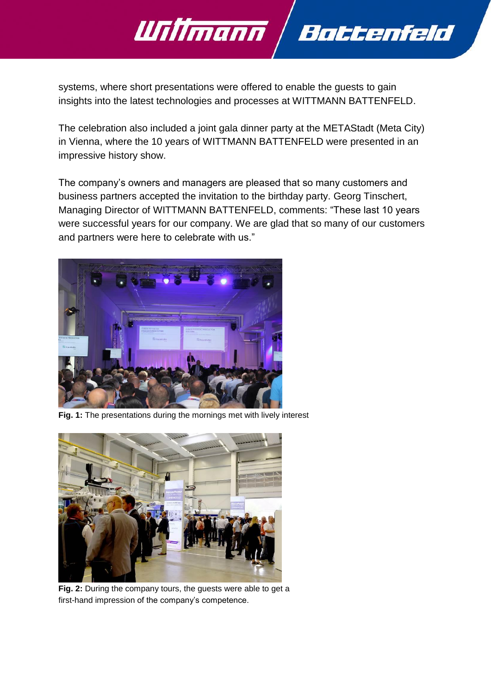

systems, where short presentations were offered to enable the guests to gain insights into the latest technologies and processes at WITTMANN BATTENFELD.

The celebration also included a joint gala dinner party at the METAStadt (Meta City) in Vienna, where the 10 years of WITTMANN BATTENFELD were presented in an impressive history show.

The company's owners and managers are pleased that so many customers and business partners accepted the invitation to the birthday party. Georg Tinschert, Managing Director of WITTMANN BATTENFELD, comments: "These last 10 years were successful years for our company. We are glad that so many of our customers and partners were here to celebrate with us."



**Fig. 1:** The presentations during the mornings met with lively interest



**Fig. 2:** During the company tours, the guests were able to get a first-hand impression of the company's competence.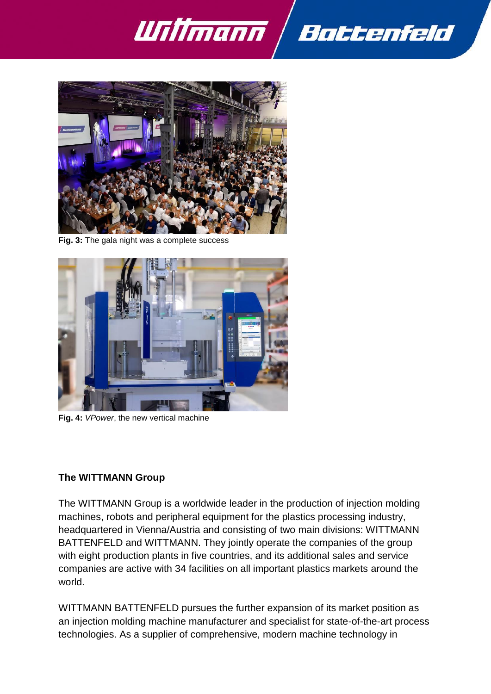



**Fig. 3:** The gala night was a complete success



**Fig. 4:** *VPower*, the new vertical machine

### **The WITTMANN Group**

The WITTMANN Group is a worldwide leader in the production of injection molding machines, robots and peripheral equipment for the plastics processing industry, headquartered in Vienna/Austria and consisting of two main divisions: WITTMANN BATTENFELD and WITTMANN. They jointly operate the companies of the group with eight production plants in five countries, and its additional sales and service companies are active with 34 facilities on all important plastics markets around the world.

WITTMANN BATTENFELD pursues the further expansion of its market position as an injection molding machine manufacturer and specialist for state-of-the-art process technologies. As a supplier of comprehensive, modern machine technology in